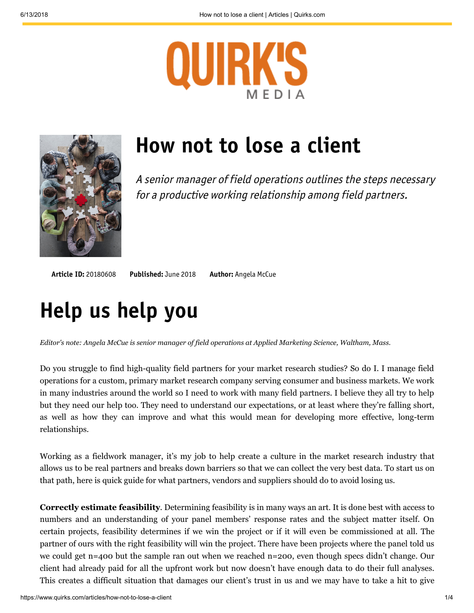



# **How not to lose a client**

A senior manager of field operations outlines the steps necessary for a productive working relationship among field partners.

**Article ID:** 20180608 **Published:** [June 2018](https://www.quirks.com/articles/issues/june-2018) **Author:** [Angela McCue](https://www.quirks.com/articles/authors/angela-mccue)

## **Help us help you**

*Editor's note: Angela McCue is senior manager of field operations at Applied Marketing Science, Waltham, Mass.*

Do you struggle to find high-quality field partners for your market research studies? So do I. I manage field operations for a custom, primary market research company serving consumer and business markets. We work in many industries around the world so I need to work with many field partners. I believe they all try to help but they need our help too. They need to understand our expectations, or at least where they're falling short, as well as how they can improve and what this would mean for developing more effective, long-term relationships.

Working as a fieldwork manager, it's my job to help create a culture in the market research industry that allows us to be real partners and breaks down barriers so that we can collect the very best data. To start us on that path, here is quick guide for what partners, vendors and suppliers should do to avoid losing us.

**Correctly estimate feasibility**. Determining feasibility is in many ways an art. It is done best with access to numbers and an understanding of your panel members' response rates and the subject matter itself. On certain projects, feasibility determines if we win the project or if it will even be commissioned at all. The partner of ours with the right feasibility will win the project. There have been projects where the panel told us we could get n=400 but the sample ran out when we reached n=200, even though specs didn't change. Our client had already paid for all the upfront work but now doesn't have enough data to do their full analyses. This creates a difficult situation that damages our client's trust in us and we may have to take a hit to give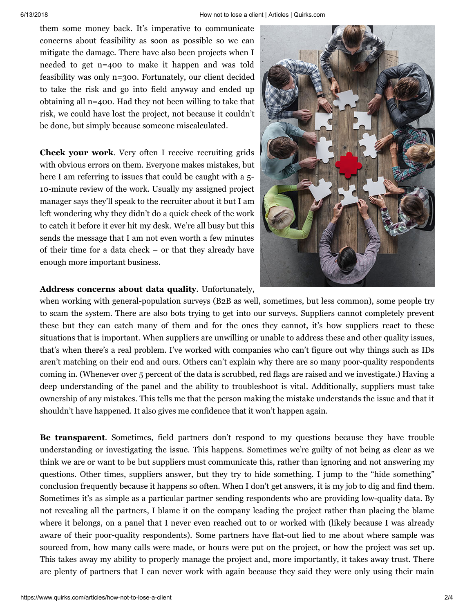them some money back. It's imperative to communicate concerns about feasibility as soon as possible so we can mitigate the damage. There have also been projects when I needed to get n=400 to make it happen and was told feasibility was only n=300. Fortunately, our client decided to take the risk and go into field anyway and ended up obtaining all n=400. Had they not been willing to take that risk, we could have lost the project, not because it couldn't be done, but simply because someone miscalculated.

**Check your work**. Very often I receive recruiting grids with obvious errors on them. Everyone makes mistakes, but here I am referring to issues that could be caught with a 5-10-minute review of the work. Usually my assigned project manager says they'll speak to the recruiter about it but I am left wondering why they didn't do a quick check of the work to catch it before it ever hit my desk. We're all busy but this sends the message that I am not even worth a few minutes of their time for a data check – or that they already have enough more important business.



### **Address concerns about data quality**. Unfortunately,

when working with general-population surveys (B2B as well, sometimes, but less common), some people try to scam the system. There are also bots trying to get into our surveys. Suppliers cannot completely prevent these but they can catch many of them and for the ones they cannot, it's how suppliers react to these situations that is important. When suppliers are unwilling or unable to address these and other quality issues, that's when there's a real problem. I've worked with companies who can't figure out why things such as IDs aren't matching on their end and ours. Others can't explain why there are so many poor-quality respondents coming in. (Whenever over 5 percent of the data is scrubbed, red flags are raised and we investigate.) Having a deep understanding of the panel and the ability to troubleshoot is vital. Additionally, suppliers must take ownership of any mistakes. This tells me that the person making the mistake understands the issue and that it shouldn't have happened. It also gives me confidence that it won't happen again.

**Be transparent**. Sometimes, field partners don't respond to my questions because they have trouble understanding or investigating the issue. This happens. Sometimes we're guilty of not being as clear as we think we are or want to be but suppliers must communicate this, rather than ignoring and not answering my questions. Other times, suppliers answer, but they try to hide something. I jump to the "hide something" conclusion frequently because it happens so often. When I don't get answers, it is my job to dig and find them. Sometimes it's as simple as a particular partner sending respondents who are providing low-quality data. By not revealing all the partners, I blame it on the company leading the project rather than placing the blame where it belongs, on a panel that I never even reached out to or worked with (likely because I was already aware of their poor-quality respondents). Some partners have flat-out lied to me about where sample was sourced from, how many calls were made, or hours were put on the project, or how the project was set up. This takes away my ability to properly manage the project and, more importantly, it takes away trust. There are plenty of partners that I can never work with again because they said they were only using their main